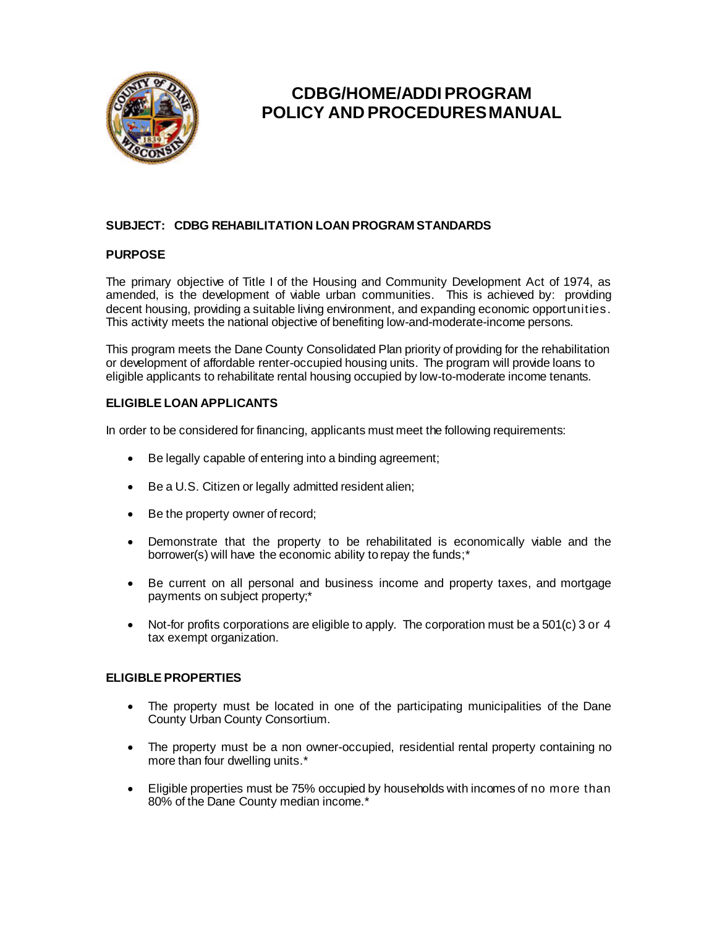

# **CDBG/HOME/ADDI PROGRAM POLICY AND PROCEDURES MANUAL**

# **SUBJECT: CDBG REHABILITATION LOAN PROGRAM STANDARDS**

# **PURPOSE**

The primary objective of Title I of the Housing and Community Development Act of 1974, as amended, is the development of viable urban communities. This is achieved by: providing decent housing, providing a suitable living environment, and expanding economic opportunities. This activity meets the national objective of benefiting low-and-moderate-income persons.

This program meets the Dane County Consolidated Plan priority of providing for the rehabilitation or development of affordable renter-occupied housing units. The program will provide loans to eligible applicants to rehabilitate rental housing occupied by low-to-moderate income tenants.

# **ELIGIBLE LOAN APPLICANTS**

In order to be considered for financing, applicants must meet the following requirements:

- Be legally capable of entering into a binding agreement;
- Be a U.S. Citizen or legally admitted resident alien;
- Be the property owner of record;
- Demonstrate that the property to be rehabilitated is economically viable and the borrower(s) will have the economic ability to repay the funds;\*
- Be current on all personal and business income and property taxes, and mortgage payments on subject property;\*
- Not-for profits corporations are eligible to apply. The corporation must be a 501(c) 3 or 4 tax exempt organization.

## **ELIGIBLE PROPERTIES**

- The property must be located in one of the participating municipalities of the Dane County Urban County Consortium.
- The property must be a non owner-occupied, residential rental property containing no more than four dwelling units.\*
- Eligible properties must be 75% occupied by households with incomes of no more than 80% of the Dane County median income.\*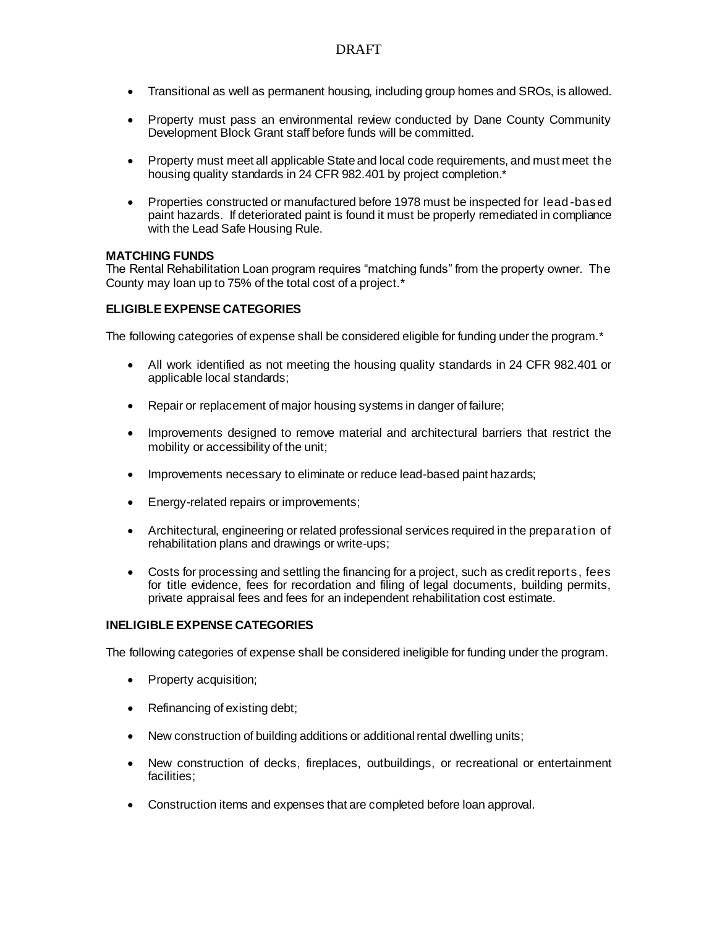- Transitional as well as permanent housing, including group homes and SROs, is allowed.
- Property must pass an environmental review conducted by Dane County Community Development Block Grant staff before funds will be committed.
- Property must meet all applicable State and local code requirements, and must meet the housing quality standards in 24 CFR 982.401 by project completion.\*
- Properties constructed or manufactured before 1978 must be inspected for lead-based paint hazards. If deteriorated paint is found it must be properly remediated in compliance with the Lead Safe Housing Rule.

## **MATCHING FUNDS**

The Rental Rehabilitation Loan program requires "matching funds" from the property owner. The County may loan up to 75% of the total cost of a project.\*

## **ELIGIBLE EXPENSE CATEGORIES**

The following categories of expense shall be considered eligible for funding under the program.\*

- All work identified as not meeting the housing quality standards in 24 CFR 982.401 or applicable local standards;
- Repair or replacement of major housing systems in danger of failure;
- Improvements designed to remove material and architectural barriers that restrict the mobility or accessibility of the unit;
- Improvements necessary to eliminate or reduce lead-based paint hazards;
- Energy-related repairs or improvements;
- Architectural, engineering or related professional services required in the preparation of rehabilitation plans and drawings or write-ups;
- Costs for processing and settling the financing for a project, such as credit reports, fees for title evidence, fees for recordation and filing of legal documents, building permits, private appraisal fees and fees for an independent rehabilitation cost estimate.

## **INELIGIBLE EXPENSE CATEGORIES**

The following categories of expense shall be considered ineligible for funding under the program.

- Property acquisition;
- Refinancing of existing debt;
- New construction of building additions or additional rental dwelling units;
- New construction of decks, fireplaces, outbuildings, or recreational or entertainment facilities;
- Construction items and expenses that are completed before loan approval.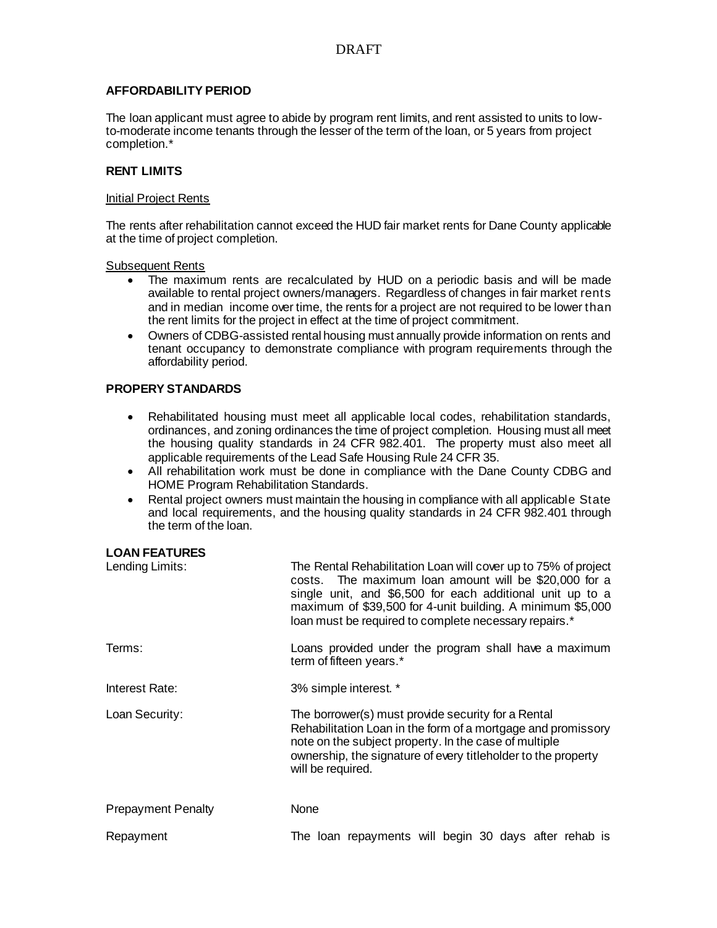# **AFFORDABILITY PERIOD**

The loan applicant must agree to abide by program rent limits, and rent assisted to units to lowto-moderate income tenants through the lesser of the term of the loan, or 5 years from project completion.\*

## **RENT LIMITS**

#### **Initial Project Rents**

The rents after rehabilitation cannot exceed the HUD fair market rents for Dane County applicable at the time of project completion.

## Subsequent Rents

- The maximum rents are recalculated by HUD on a periodic basis and will be made available to rental project owners/managers. Regardless of changes in fair market rents and in median income over time, the rents for a project are not required to be lower than the rent limits for the project in effect at the time of project commitment.
- Owners of CDBG-assisted rental housing must annually provide information on rents and tenant occupancy to demonstrate compliance with program requirements through the affordability period.

#### **PROPERY STANDARDS**

- Rehabilitated housing must meet all applicable local codes, rehabilitation standards, ordinances, and zoning ordinances the time of project completion. Housing must all meet the housing quality standards in 24 CFR 982.401. The property must also meet all applicable requirements of the Lead Safe Housing Rule 24 CFR 35.
- All rehabilitation work must be done in compliance with the Dane County CDBG and HOME Program Rehabilitation Standards.
- Rental project owners must maintain the housing in compliance with all applicable State and local requirements, and the housing quality standards in 24 CFR 982.401 through the term of the loan.

#### **LOAN FEATURES**

| Lending Limits:           | The Rental Rehabilitation Loan will cover up to 75% of project<br>costs. The maximum loan amount will be \$20,000 for a<br>single unit, and \$6,500 for each additional unit up to a<br>maximum of \$39,500 for 4-unit building. A minimum \$5,000<br>loan must be required to complete necessary repairs.* |
|---------------------------|-------------------------------------------------------------------------------------------------------------------------------------------------------------------------------------------------------------------------------------------------------------------------------------------------------------|
| Terms:                    | Loans provided under the program shall have a maximum<br>term of fifteen years.*                                                                                                                                                                                                                            |
| Interest Rate:            | 3% simple interest. *                                                                                                                                                                                                                                                                                       |
| Loan Security:            | The borrower(s) must provide security for a Rental<br>Rehabilitation Loan in the form of a mortgage and promissory<br>note on the subject property. In the case of multiple<br>ownership, the signature of every titleholder to the property<br>will be required.                                           |
| <b>Prepayment Penalty</b> | None                                                                                                                                                                                                                                                                                                        |
| Repayment                 | The loan repayments will begin 30 days after rehab is                                                                                                                                                                                                                                                       |